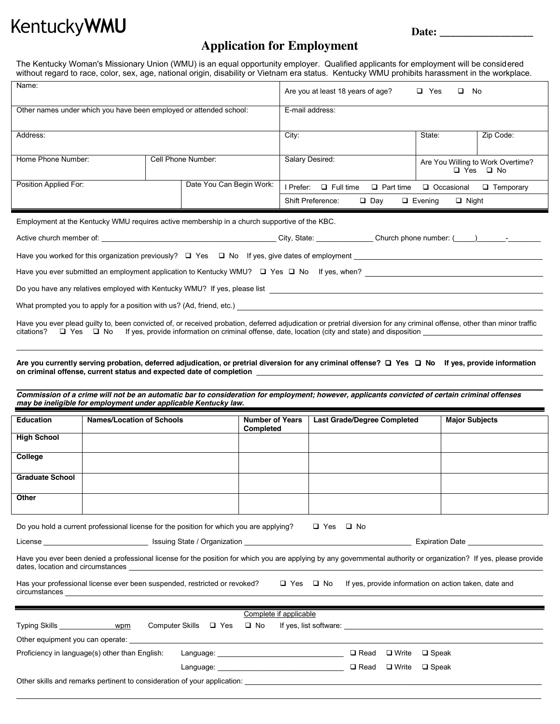## **KentuckyWMU**

## **Application for Employment**

**Date: \_\_\_\_\_\_\_\_\_\_\_\_\_\_\_\_\_** 

The Kentucky Woman's Missionary Union (WMU) is an equal opportunity employer. Qualified applicants for employment will be considered without regard to race, color, sex, age, national origin, disability or Vietnam era status. Kentucky WMU prohibits harassment in the workplace.

| Name:                                                                                                                                                                                                                                                                                                                                                                                 |                                  |  |                       |                                        | Are you at least 18 years of age?<br>$\Box$ Yes<br>□<br>No. |                                                                                                                                                                                                                               |                                                           |                 |                       |           |  |  |
|---------------------------------------------------------------------------------------------------------------------------------------------------------------------------------------------------------------------------------------------------------------------------------------------------------------------------------------------------------------------------------------|----------------------------------|--|-----------------------|----------------------------------------|-------------------------------------------------------------|-------------------------------------------------------------------------------------------------------------------------------------------------------------------------------------------------------------------------------|-----------------------------------------------------------|-----------------|-----------------------|-----------|--|--|
| Other names under which you have been employed or attended school:                                                                                                                                                                                                                                                                                                                    |                                  |  |                       |                                        |                                                             | E-mail address:                                                                                                                                                                                                               |                                                           |                 |                       |           |  |  |
| Address:                                                                                                                                                                                                                                                                                                                                                                              |                                  |  |                       |                                        | City:                                                       |                                                                                                                                                                                                                               |                                                           | State:          |                       | Zip Code: |  |  |
|                                                                                                                                                                                                                                                                                                                                                                                       | Home Phone Number:               |  | Cell Phone Number:    |                                        | Salary Desired:                                             |                                                                                                                                                                                                                               | Are You Willing to Work Overtime?<br>$\Box$ Yes $\Box$ No |                 |                       |           |  |  |
|                                                                                                                                                                                                                                                                                                                                                                                       | Position Applied For:            |  |                       | Date You Can Begin Work:               |                                                             | I Prefer: <b>Q</b> Full time<br>$\Box$ Part time<br>Occasional<br>$\Box$ Temporary<br>Shift Preference:<br>$\Box$ Day<br>$\Box$ Evening<br>$\Box$ Night                                                                       |                                                           |                 |                       |           |  |  |
| Employment at the Kentucky WMU requires active membership in a church supportive of the KBC.                                                                                                                                                                                                                                                                                          |                                  |  |                       |                                        |                                                             |                                                                                                                                                                                                                               |                                                           |                 |                       |           |  |  |
|                                                                                                                                                                                                                                                                                                                                                                                       |                                  |  |                       |                                        |                                                             |                                                                                                                                                                                                                               |                                                           |                 |                       |           |  |  |
| Have you worked for this organization previously? $\Box$ Yes $\Box$ No If yes, give dates of employment                                                                                                                                                                                                                                                                               |                                  |  |                       |                                        |                                                             |                                                                                                                                                                                                                               |                                                           |                 |                       |           |  |  |
| Have you ever submitted an employment application to Kentucky WMU? $\Box$ Yes $\Box$ No If yes, when?                                                                                                                                                                                                                                                                                 |                                  |  |                       |                                        |                                                             |                                                                                                                                                                                                                               |                                                           |                 |                       |           |  |  |
| Do you have any relatives employed with Kentucky WMU? If yes, please list __________________________                                                                                                                                                                                                                                                                                  |                                  |  |                       |                                        |                                                             |                                                                                                                                                                                                                               |                                                           |                 |                       |           |  |  |
|                                                                                                                                                                                                                                                                                                                                                                                       |                                  |  |                       |                                        |                                                             | What prompted you to apply for a position with us? (Ad, friend, etc.) example and the state of the state of the state of the state of the state of the state of the state of the state of the state of the state of the state |                                                           |                 |                       |           |  |  |
| citations?                                                                                                                                                                                                                                                                                                                                                                            |                                  |  |                       |                                        |                                                             | Have you ever plead guilty to, been convicted of, or received probation, deferred adjudication or pretrial diversion for any criminal offense, other than minor traffic                                                       |                                                           |                 |                       |           |  |  |
| Are you currently serving probation, deferred adjudication, or pretrial diversion for any criminal offense? $\Box$ Yes $\Box$ No If yes, provide information<br>on criminal offense, current status and expected date of completion<br>Commission of a crime will not be an automatic bar to consideration for employment; however, applicants convicted of certain criminal offenses |                                  |  |                       |                                        |                                                             |                                                                                                                                                                                                                               |                                                           |                 |                       |           |  |  |
|                                                                                                                                                                                                                                                                                                                                                                                       |                                  |  |                       |                                        |                                                             |                                                                                                                                                                                                                               |                                                           |                 |                       |           |  |  |
| may be ineligible for employment under applicable Kentucky law.                                                                                                                                                                                                                                                                                                                       |                                  |  |                       |                                        |                                                             |                                                                                                                                                                                                                               |                                                           |                 |                       |           |  |  |
| Education                                                                                                                                                                                                                                                                                                                                                                             | <b>Names/Location of Schools</b> |  |                       | <b>Number of Years</b><br>Completed    |                                                             | <b>Last Grade/Degree Completed</b>                                                                                                                                                                                            |                                                           |                 | <b>Major Subjects</b> |           |  |  |
| <b>High School</b>                                                                                                                                                                                                                                                                                                                                                                    |                                  |  |                       |                                        |                                                             |                                                                                                                                                                                                                               |                                                           |                 |                       |           |  |  |
| College                                                                                                                                                                                                                                                                                                                                                                               |                                  |  |                       |                                        |                                                             |                                                                                                                                                                                                                               |                                                           |                 |                       |           |  |  |
| <b>Graduate School</b>                                                                                                                                                                                                                                                                                                                                                                |                                  |  |                       |                                        |                                                             |                                                                                                                                                                                                                               |                                                           |                 |                       |           |  |  |
| Other                                                                                                                                                                                                                                                                                                                                                                                 |                                  |  |                       |                                        |                                                             |                                                                                                                                                                                                                               |                                                           |                 |                       |           |  |  |
| Do you hold a current professional license for the position for which you are applying?                                                                                                                                                                                                                                                                                               |                                  |  |                       |                                        |                                                             | $\Box$ Yes<br>□ No                                                                                                                                                                                                            |                                                           |                 |                       |           |  |  |
|                                                                                                                                                                                                                                                                                                                                                                                       |                                  |  |                       |                                        |                                                             |                                                                                                                                                                                                                               |                                                           |                 |                       |           |  |  |
| dates, location and circumstances                                                                                                                                                                                                                                                                                                                                                     |                                  |  |                       |                                        |                                                             | Have you ever been denied a professional license for the position for which you are applying by any governmental authority or organization? If yes, please provide                                                            |                                                           |                 |                       |           |  |  |
| Has your professional license ever been suspended, restricted or revoked?                                                                                                                                                                                                                                                                                                             |                                  |  |                       |                                        | $\Box$ Yes $\Box$ No                                        | If yes, provide information on action taken, date and                                                                                                                                                                         |                                                           |                 |                       |           |  |  |
|                                                                                                                                                                                                                                                                                                                                                                                       |                                  |  |                       |                                        |                                                             |                                                                                                                                                                                                                               |                                                           |                 |                       |           |  |  |
|                                                                                                                                                                                                                                                                                                                                                                                       |                                  |  | Computer Skills □ Yes | Complete if applicable<br>$\square$ No |                                                             |                                                                                                                                                                                                                               |                                                           |                 |                       |           |  |  |
|                                                                                                                                                                                                                                                                                                                                                                                       |                                  |  |                       |                                        |                                                             |                                                                                                                                                                                                                               |                                                           |                 |                       |           |  |  |
| Proficiency in language(s) other than English:                                                                                                                                                                                                                                                                                                                                        |                                  |  |                       |                                        |                                                             | $\square$ Read                                                                                                                                                                                                                | $\Box$ Write                                              | $\square$ Speak |                       |           |  |  |
|                                                                                                                                                                                                                                                                                                                                                                                       |                                  |  |                       |                                        |                                                             | $\Box$ Read                                                                                                                                                                                                                   | $\square$ Write                                           | $\square$ Speak |                       |           |  |  |